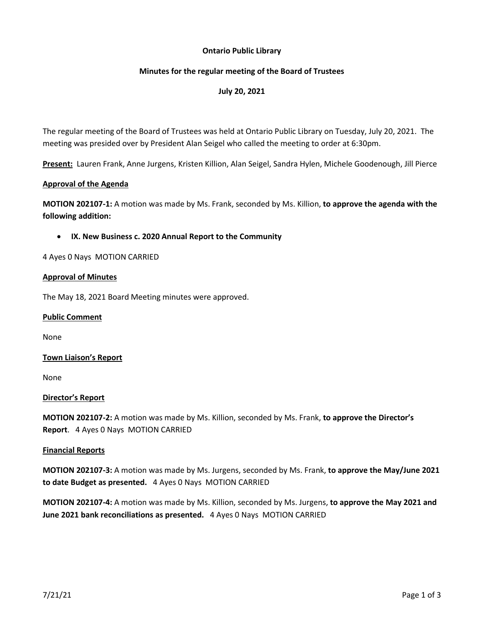## **Ontario Public Library**

## **Minutes for the regular meeting of the Board of Trustees**

# **July 20, 2021**

The regular meeting of the Board of Trustees was held at Ontario Public Library on Tuesday, July 20, 2021. The meeting was presided over by President Alan Seigel who called the meeting to order at 6:30pm.

**Present:** Lauren Frank, Anne Jurgens, Kristen Killion, Alan Seigel, Sandra Hylen, Michele Goodenough, Jill Pierce

## **Approval of the Agenda**

**MOTION 202107-1:** A motion was made by Ms. Frank, seconded by Ms. Killion, **to approve the agenda with the following addition:**

### • **IX. New Business c. 2020 Annual Report to the Community**

4 Ayes 0 Nays MOTION CARRIED

### **Approval of Minutes**

The May 18, 2021 Board Meeting minutes were approved.

### **Public Comment**

None

## **Town Liaison's Report**

None

## **Director's Report**

**MOTION 202107-2:** A motion was made by Ms. Killion, seconded by Ms. Frank, **to approve the Director's Report**. 4 Ayes 0 Nays MOTION CARRIED

#### **Financial Reports**

**MOTION 202107-3:** A motion was made by Ms. Jurgens, seconded by Ms. Frank, **to approve the May/June 2021 to date Budget as presented.** 4 Ayes 0 Nays MOTION CARRIED

**MOTION 202107-4:** A motion was made by Ms. Killion, seconded by Ms. Jurgens, **to approve the May 2021 and June 2021 bank reconciliations as presented.** 4 Ayes 0 Nays MOTION CARRIED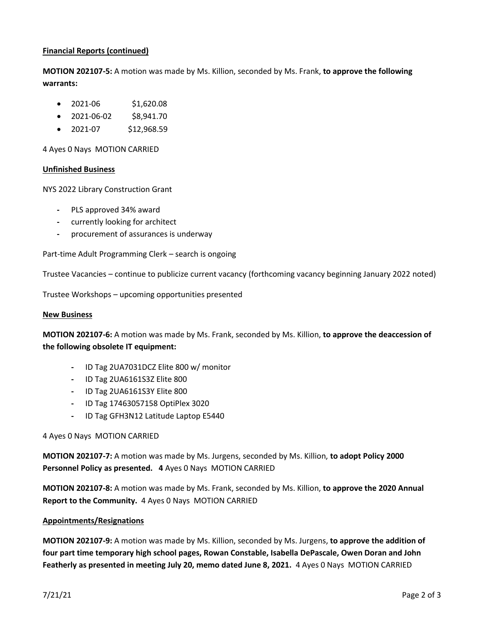## **Financial Reports (continued)**

**MOTION 202107-5:** A motion was made by Ms. Killion, seconded by Ms. Frank, **to approve the following warrants:**

- 2021-06 \$1,620.08
- 2021-06-02 \$8,941.70
- 2021-07 \$12,968.59

4 Ayes 0 Nays MOTION CARRIED

## **Unfinished Business**

NYS 2022 Library Construction Grant

- **-** PLS approved 34% award
- **-** currently looking for architect
- **-** procurement of assurances is underway

Part-time Adult Programming Clerk – search is ongoing

Trustee Vacancies – continue to publicize current vacancy (forthcoming vacancy beginning January 2022 noted)

Trustee Workshops – upcoming opportunities presented

### **New Business**

**MOTION 202107-6:** A motion was made by Ms. Frank, seconded by Ms. Killion, **to approve the deaccession of the following obsolete IT equipment:**

- **-** ID Tag 2UA7031DCZ Elite 800 w/ monitor
- **-** ID Tag 2UA6161S3Z Elite 800
- **-** ID Tag 2UA6161S3Y Elite 800
- **-** ID Tag 17463057158 OptiPlex 3020
- **-** ID Tag GFH3N12 Latitude Laptop E5440

## 4 Ayes 0 Nays MOTION CARRIED

**MOTION 202107-7:** A motion was made by Ms. Jurgens, seconded by Ms. Killion, **to adopt Policy 2000 Personnel Policy as presented. 4** Ayes 0 Nays MOTION CARRIED

**MOTION 202107-8:** A motion was made by Ms. Frank, seconded by Ms. Killion, **to approve the 2020 Annual Report to the Community.** 4 Ayes 0 Nays MOTION CARRIED

#### **Appointments/Resignations**

**MOTION 202107-9:** A motion was made by Ms. Killion, seconded by Ms. Jurgens, **to approve the addition of four part time temporary high school pages, Rowan Constable, Isabella DePascale, Owen Doran and John Featherly as presented in meeting July 20, memo dated June 8, 2021.** 4 Ayes 0 Nays MOTION CARRIED